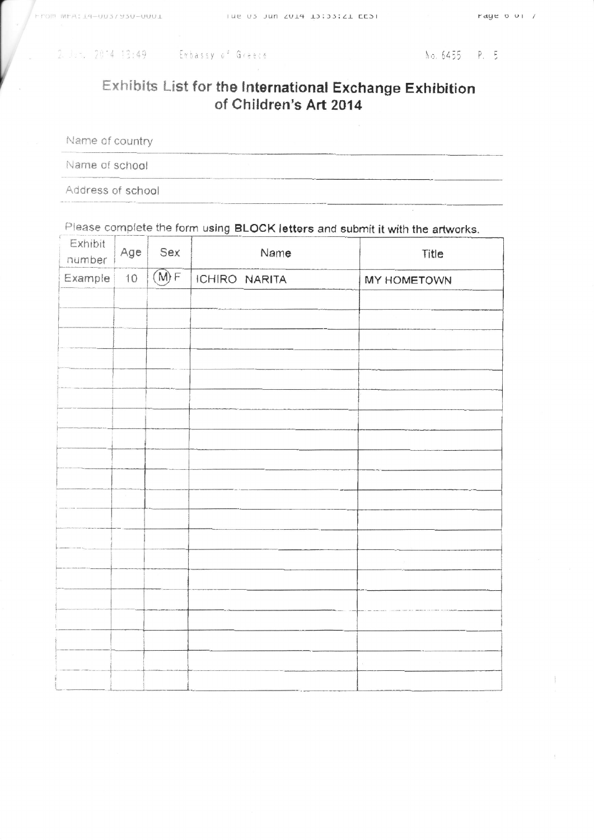|  | 2. Jun. 2014 13:49 |
|--|--------------------|
|  |                    |

## Exhibits List for the International Exchange Exhibition of Children's Art 2014

Name of country

Name of school

Address of school

Please complete the form using BLOCK letters and submit it with the artworks.

| Exhibit<br>number | Age | Sex  | Name          | Title       |
|-------------------|-----|------|---------------|-------------|
| Example           | 10  | (M)F | ICHIRO NARITA | MY HOMETOWN |
|                   |     |      |               |             |
|                   |     |      |               |             |
|                   |     |      |               |             |
|                   |     |      |               |             |
|                   |     |      |               |             |
|                   |     |      |               |             |
|                   |     |      |               |             |
|                   |     |      |               |             |
|                   |     |      |               |             |
|                   |     |      |               |             |
|                   |     |      |               |             |
|                   |     |      |               |             |
|                   |     |      |               |             |
|                   |     |      |               |             |
|                   |     |      |               |             |
|                   |     |      |               |             |
|                   |     |      |               |             |
|                   |     |      |               |             |
|                   |     |      |               |             |
|                   |     |      |               |             |
|                   |     |      |               |             |